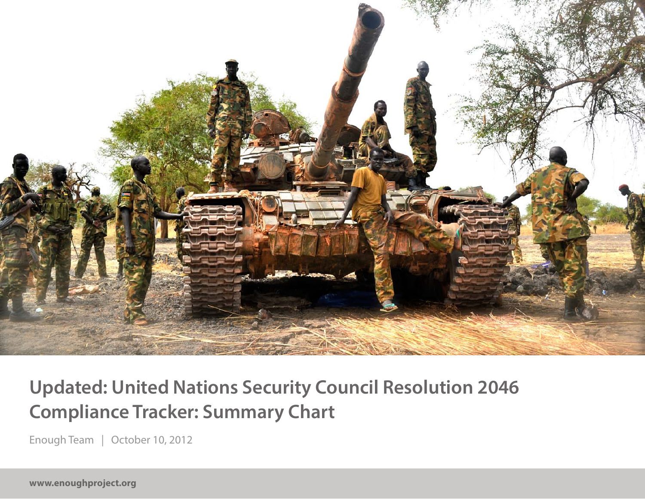

### **Updated: United Nations Security Council Resolution 2046 Compliance Tracker: Summary Chart**

Enough Team | October 10, 2012

**www.enoughproject.org**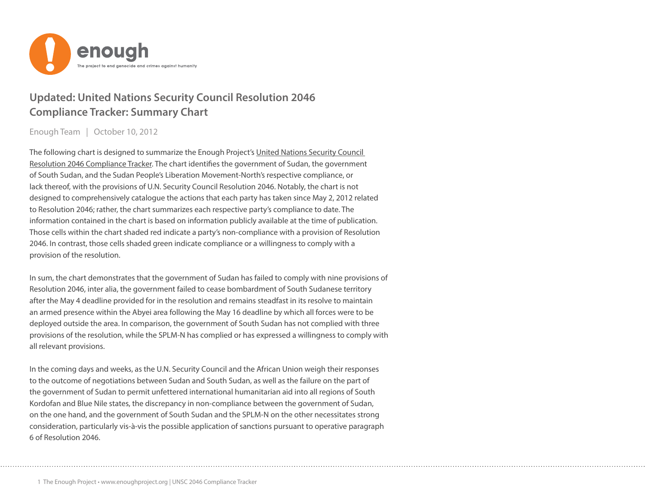

#### **Updated: United Nations Security Council Resolution 2046 Compliance Tracker: Summary Chart**

Enough Team | October 10, 2012

The following chart is designed to summarize the Enough Project's [United Nations Security Council](http://enoughproject.org/multimedia/timeline-tracking-compliance-un-security-council-resolution-2046)  [Resolution 2046 Compliance Tracker](http://enoughproject.org/multimedia/timeline-tracking-compliance-un-security-council-resolution-2046). The chart identifies the government of Sudan, the government of South Sudan, and the Sudan People's Liberation Movement-North's respective compliance, or lack thereof, with the provisions of U.N. Security Council Resolution 2046. Notably, the chart is not designed to comprehensively catalogue the actions that each party has taken since May 2, 2012 related to Resolution 2046; rather, the chart summarizes each respective party's compliance to date. The information contained in the chart is based on information publicly available at the time of publication. Those cells within the chart shaded red indicate a party's non-compliance with a provision of Resolution 2046. In contrast, those cells shaded green indicate compliance or a willingness to comply with a provision of the resolution.

In sum, the chart demonstrates that the government of Sudan has failed to comply with nine provisions of Resolution 2046, inter alia, the government failed to cease bombardment of South Sudanese territory after the May 4 deadline provided for in the resolution and remains steadfast in its resolve to maintain an armed presence within the Abyei area following the May 16 deadline by which all forces were to be deployed outside the area. In comparison, the government of South Sudan has not complied with three provisions of the resolution, while the SPLM-N has complied or has expressed a willingness to comply with all relevant provisions.

In the coming days and weeks, as the U.N. Security Council and the African Union weigh their responses to the outcome of negotiations between Sudan and South Sudan, as well as the failure on the part of the government of Sudan to permit unfettered international humanitarian aid into all regions of South Kordofan and Blue Nile states, the discrepancy in non-compliance between the government of Sudan, on the one hand, and the government of South Sudan and the SPLM-N on the other necessitates strong consideration, particularly vis-à-vis the possible application of sanctions pursuant to operative paragraph 6 of Resolution 2046.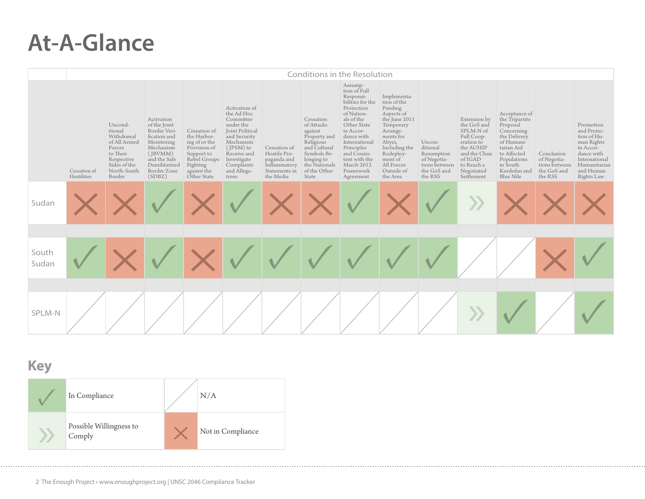## **At-A-Glance**

|                |                             | Conditions in the Resolution                                                                                                  |                                                                                                                                                                  |                                                                                                                                      |                                                                                                                                                                                        |                                                                                           |                                                                                                                                                        |                                                                                                                                                                                                                                                     |                                                                                                                                                                                                       |                                                                                            |                                                                                                                                                         |                                                                                                                                                                                     |                                                                      |                                                                                                                                              |
|----------------|-----------------------------|-------------------------------------------------------------------------------------------------------------------------------|------------------------------------------------------------------------------------------------------------------------------------------------------------------|--------------------------------------------------------------------------------------------------------------------------------------|----------------------------------------------------------------------------------------------------------------------------------------------------------------------------------------|-------------------------------------------------------------------------------------------|--------------------------------------------------------------------------------------------------------------------------------------------------------|-----------------------------------------------------------------------------------------------------------------------------------------------------------------------------------------------------------------------------------------------------|-------------------------------------------------------------------------------------------------------------------------------------------------------------------------------------------------------|--------------------------------------------------------------------------------------------|---------------------------------------------------------------------------------------------------------------------------------------------------------|-------------------------------------------------------------------------------------------------------------------------------------------------------------------------------------|----------------------------------------------------------------------|----------------------------------------------------------------------------------------------------------------------------------------------|
|                | Cessation of<br>Hostilities | Uncond-<br>itional<br>Withdrawal<br>of All Armed<br>Forces<br>to Their<br>Respective<br>Sides of the<br>North-South<br>Border | Activation<br>of the Joint<br>Border Veri-<br>fication and<br>Monitoring<br>Mechanism<br>$($ JBVMM $)$<br>and the Safe<br>Demilitarized<br>Border Zone<br>(SDBZ) | Cessation of<br>the Harbor-<br>ing of or the<br>Provision of<br>Support to<br>Rebel Groups<br>Fighting<br>against the<br>Other State | Activation of<br>the Ad Hoc<br>Committee<br>under the<br>Joint Political<br>and Security<br>Mechanism<br>(JPSM) to<br>Receive and<br>Investigate<br>Complaints<br>and Allega-<br>tions | Cessation of<br>Hostile Pro-<br>paganda and<br>Inflammatory<br>Statements in<br>the Media | Cessation<br>of Attacks<br>against<br>Property and<br>Religious<br>and Cultural<br>Symbols Be-<br>longing to<br>the Nationals<br>of the Other<br>State | Assump-<br>tion of Full<br>Responsi-<br>bilities for the<br>Protection<br>of Nation-<br>als of the<br>Other State<br>in Accor-<br>dance with<br>International<br>Principles<br>and Consis-<br>tent with the<br>March 2012<br>Framework<br>Agreement | Implementa-<br>tion of the<br>Pending<br>Aspects of<br>the June 2011<br>Temporary<br>Arrange-<br>ments for<br>Abyei,<br>Including the<br>Redeploy-<br>ment of<br>All Forces<br>Outside of<br>the Area | Uncon-<br>ditional<br>Resumption<br>of Negotia-<br>tions between<br>the GoS and<br>the RSS | Extension by<br>the GoS and<br>SPLM-N of<br>Full Coop-<br>eration to<br>the AUHIP<br>and the Chair<br>of IGAD<br>to Reach a<br>Negotiated<br>Settlement | Acceptance of<br>the Tripartite<br>Proposal<br>Concerning<br>the Delivery<br>of Humani-<br>tarian Aid<br>to Affected<br>Populations<br>in South<br>Kordofan and<br><b>Blue Nile</b> | Conclusion<br>of Negotia-<br>tions between<br>the GoS and<br>the RSS | Promotion<br>and Protec-<br>tion of Hu-<br>man Rights<br>in Accor-<br>dance with<br>International<br>Humanitarian<br>and Human<br>Rights Law |
| Sudan          |                             |                                                                                                                               |                                                                                                                                                                  |                                                                                                                                      |                                                                                                                                                                                        |                                                                                           |                                                                                                                                                        |                                                                                                                                                                                                                                                     |                                                                                                                                                                                                       |                                                                                            |                                                                                                                                                         |                                                                                                                                                                                     |                                                                      |                                                                                                                                              |
| South<br>Sudan |                             |                                                                                                                               |                                                                                                                                                                  |                                                                                                                                      |                                                                                                                                                                                        |                                                                                           |                                                                                                                                                        |                                                                                                                                                                                                                                                     |                                                                                                                                                                                                       |                                                                                            |                                                                                                                                                         |                                                                                                                                                                                     |                                                                      |                                                                                                                                              |
| SPLM-N         |                             |                                                                                                                               |                                                                                                                                                                  |                                                                                                                                      |                                                                                                                                                                                        |                                                                                           |                                                                                                                                                        |                                                                                                                                                                                                                                                     |                                                                                                                                                                                                       |                                                                                            |                                                                                                                                                         |                                                                                                                                                                                     |                                                                      |                                                                                                                                              |

#### **Key**

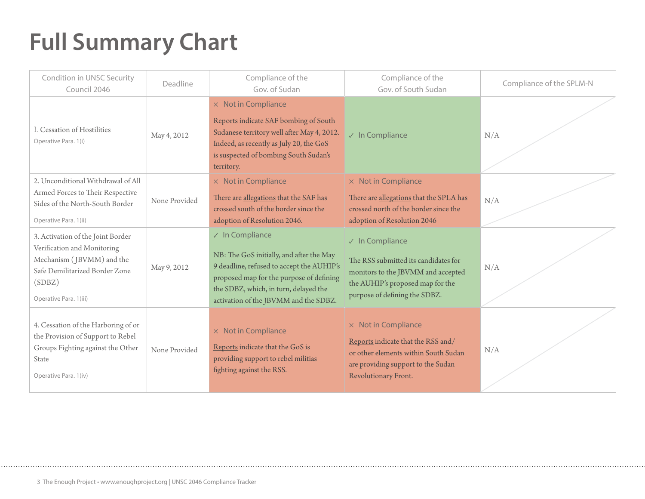# **Full Summary Chart**

| Condition in UNSC Security<br>Council 2046                                                                                                                          | Deadline      | Compliance of the<br>Gov. of Sudan                                                                                                                                                                                                             | Compliance of the<br>Gov. of South Sudan                                                                                                                                   | Compliance of the SPLM-N |
|---------------------------------------------------------------------------------------------------------------------------------------------------------------------|---------------|------------------------------------------------------------------------------------------------------------------------------------------------------------------------------------------------------------------------------------------------|----------------------------------------------------------------------------------------------------------------------------------------------------------------------------|--------------------------|
| l. Cessation of Hostilities<br>Operative Para. 1(i)                                                                                                                 | May 4, 2012   | $\times$ Not in Compliance<br>Reports indicate SAF bombing of South<br>Sudanese territory well after May 4, 2012.<br>Indeed, as recently as July 20, the GoS<br>is suspected of bombing South Sudan's<br>territory.                            | $\sqrt{}$ In Compliance                                                                                                                                                    | N/A                      |
| 2. Unconditional Withdrawal of All<br>Armed Forces to Their Respective<br>Sides of the North-South Border<br>Operative Para. 1(ii)                                  | None Provided | $\times$ Not in Compliance<br>There are allegations that the SAF has<br>crossed south of the border since the<br>adoption of Resolution 2046.                                                                                                  | $\times$ Not in Compliance<br>There are allegations that the SPLA has<br>crossed north of the border since the<br>adoption of Resolution 2046                              | N/A                      |
| 3. Activation of the Joint Border<br>Verification and Monitoring<br>Mechanism (JBVMM) and the<br>Safe Demilitarized Border Zone<br>(SDBZ)<br>Operative Para. 1(iii) | May 9, 2012   | $\sqrt{}$ In Compliance<br>NB: The GoS initially, and after the May<br>9 deadline, refused to accept the AUHIP's<br>proposed map for the purpose of defining<br>the SDBZ, which, in turn, delayed the<br>activation of the JBVMM and the SDBZ. | $\sqrt{}$ In Compliance<br>The RSS submitted its candidates for<br>monitors to the JBVMM and accepted<br>the AUHIP's proposed map for the<br>purpose of defining the SDBZ. | N/A                      |
| 4. Cessation of the Harboring of or<br>the Provision of Support to Rebel<br>Groups Fighting against the Other<br>State<br>Operative Para. 1(iv)                     | None Provided | $\times$ Not in Compliance<br>Reports indicate that the GoS is<br>providing support to rebel militias<br>fighting against the RSS.                                                                                                             | $\times$ Not in Compliance<br>Reports indicate that the RSS and/<br>or other elements within South Sudan<br>are providing support to the Sudan<br>Revolutionary Front.     | N/A                      |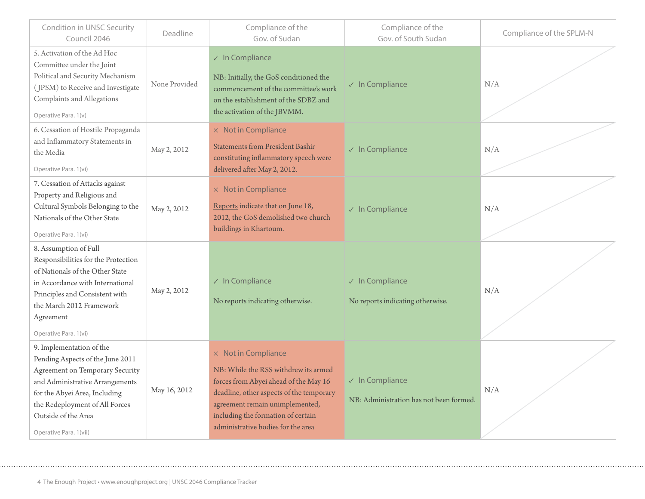| Condition in UNSC Security<br>Council 2046                                                                                                                                                                                                                    | Deadline      | Compliance of the<br>Compliance of the<br>Gov. of Sudan<br>Gov. of South Sudan                                                                                                                                                                                         |                                                                    | Compliance of the SPLM-N |  |
|---------------------------------------------------------------------------------------------------------------------------------------------------------------------------------------------------------------------------------------------------------------|---------------|------------------------------------------------------------------------------------------------------------------------------------------------------------------------------------------------------------------------------------------------------------------------|--------------------------------------------------------------------|--------------------------|--|
| 5. Activation of the Ad Hoc<br>Committee under the Joint<br>Political and Security Mechanism<br>(JPSM) to Receive and Investigate<br>Complaints and Allegations<br>Operative Para. 1(v)                                                                       | None Provided | $\sqrt{}$ In Compliance<br>NB: Initially, the GoS conditioned the<br>commencement of the committee's work<br>on the establishment of the SDBZ and<br>the activation of the JBVMM.                                                                                      | $\sqrt{}$ In Compliance                                            | N/A                      |  |
| 6. Cessation of Hostile Propaganda<br>and Inflammatory Statements in<br>the Media<br>Operative Para. 1(vi)                                                                                                                                                    | May 2, 2012   | $\times$ Not in Compliance<br><b>Statements from President Bashir</b><br>constituting inflammatory speech were<br>delivered after May 2, 2012.                                                                                                                         | $\sqrt{}$ In Compliance                                            | N/A                      |  |
| 7. Cessation of Attacks against<br>Property and Religious and<br>Cultural Symbols Belonging to the<br>Nationals of the Other State<br>Operative Para. 1(vi)                                                                                                   | May 2, 2012   | $\times$ Not in Compliance<br>Reports indicate that on June 18,<br>2012, the GoS demolished two church<br>buildings in Khartoum.                                                                                                                                       | $\sqrt{}$ In Compliance                                            | N/A                      |  |
| 8. Assumption of Full<br>Responsibilities for the Protection<br>of Nationals of the Other State<br>in Accordance with International<br>Principles and Consistent with<br>the March 2012 Framework<br>Agreement<br>Operative Para. 1(vi)                       | May 2, 2012   | $\sqrt{}$ In Compliance<br>No reports indicating otherwise.                                                                                                                                                                                                            | $\sqrt{ }$ In Compliance<br>No reports indicating otherwise.       | N/A                      |  |
| 9. Implementation of the<br>Pending Aspects of the June 2011<br><b>Agreement on Temporary Security</b><br>and Administrative Arrangements<br>for the Abyei Area, Including<br>the Redeployment of All Forces<br>Outside of the Area<br>Operative Para. 1(vii) | May 16, 2012  | $\times$ Not in Compliance<br>NB: While the RSS withdrew its armed<br>forces from Abyei ahead of the May 16<br>deadline, other aspects of the temporary<br>agreement remain unimplemented,<br>including the formation of certain<br>administrative bodies for the area | $\sqrt{}$ In Compliance<br>NB: Administration has not been formed. | N/A                      |  |